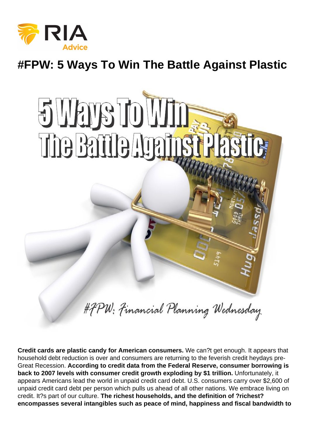## #FPW: 5 Ways To Win The Battle Against Plastic

Credit cards are plastic candy for American consumers. We can?t get enough. It appears that household debt reduction is over and consumers are returning to the feverish credit heydays pre-Great Recession. According to credit data from the Federal Reserve, consumer borrowing is back to 2007 levels with consumer credit growth exploding by \$1 trillion. Unfortunately, it appears Americans lead the world in unpaid credit card debt. U.S. consumers carry over \$2,600 of unpaid credit card debt per person which pulls us ahead of all other nations. We embrace living on credit. It?s part of our culture. The richest households, and the definition of ?richest? encompasses several intangibles such as peace of mind, happiness and fiscal bandwidth to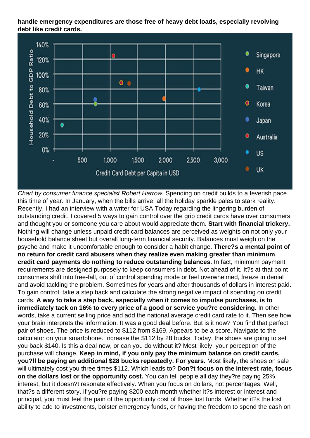handle emergency expenditures are those free of heavy debt loads, especially revolving debt like credit cards.

Chart by consumer finance specialist Robert Harrow. Spending on credit builds to a feverish pace this time of year. In January, when the bills arrive, all the holiday sparkle pales to stark reality. Recently, I had an interview with a writer for USA Today regarding the lingering burden of outstanding credit. I covered 5 ways to gain control over the grip credit cards have over consumers and thought you or someone you care about would appreciate them. Start with financial trickery. Nothing will change unless unpaid credit card balances are perceived as weights on not only your household balance sheet but overall long-term financial security. Balances must weigh on the psyche and make it uncomfortable enough to consider a habit change. There?s a mental point of no return for credit card abusers when they realize even making greater than minimum credit card payments do nothing to reduce outstanding balances. In fact, minimum payment requirements are designed purposely to keep consumers in debt. Not ahead of it. It?s at that point consumers shift into free-fall, out of control spending mode or feel overwhelmed, freeze in denial and avoid tackling the problem. Sometimes for years and after thousands of dollars in interest paid. To gain control, take a step back and calculate the strong negative impact of spending on credit cards. A way to take a step back, especially when it comes to impulse purchases, is to immediately tack on 16% to every price of a good or service you?re considering. In other words, take a current selling price and add the national average credit card rate to it. Then see how your brain interprets the information. It was a good deal before. But is it now? You find that perfect pair of shoes. The price is reduced to \$112 from \$169. Appears to be a score. Navigate to the calculator on your smartphone. Increase the \$112 by 28 bucks. Today, the shoes are going to set you back \$140. Is this a deal now, or can you do without it? Most likely, your perception of the purchase will change. Keep in mind, if you only pay the minimum balance on credit cards, you?II be paying an additional \$28 bucks repeatedly. For years. Most likely, the shoes on sale will ultimately cost you three times \$112. Which leads to? Don?t focus on the interest rate, focus on the dollars lost or the opportunity cost. You can tell people all day they?re paying 25% interest, but it doesn?t resonate effectively. When you focus on dollars, not percentages. Well, that?s a different story. If you?re paying \$200 each month whether it?s interest or interest and principal, you must feel the pain of the opportunity cost of those lost funds. Whether it?s the lost ability to add to investments, bolster emergency funds, or having the freedom to spend the cash on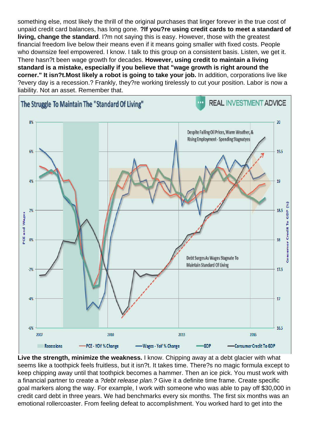something else, most likely the thrill of the original purchases that linger forever in the true cost of unpaid credit card balances, has long gone. ?If you?re using credit cards to meet a standard of living, change the standard . I?m not saying this is easy. However, those with the greatest financial freedom live below their means even if it means going smaller with fixed costs. People who downsize feel empowered. I know. I talk to this group on a consistent basis. Listen, we get it. There hasn?t been wage growth for decades. However, using credit to maintain a living standard is a mistake, especially if you believe that "wage growth is right around the corner." It isn?t. Most likely a robot is going to take your job. In addition, corporations live like ?every day is a recession.? Frankly, they?re working tirelessly to cut your position. Labor is now a liability. Not an asset. Remember that.

Live the strength, minimize the weakness. I know. Chipping away at a debt glacier with what seems like a toothpick feels fruitless, but it isn?t. It takes time. There?s no magic formula except to keep chipping away until that toothpick becomes a hammer. Then an ice pick. You must work with a financial partner to create a ?debt release plan.? Give it a definite time frame. Create specific goal markers along the way. For example, I work with someone who was able to pay off \$30,000 in credit card debt in three years. We had benchmarks every six months. The first six months was an emotional rollercoaster. From feeling defeat to accomplishment. You worked hard to get into the